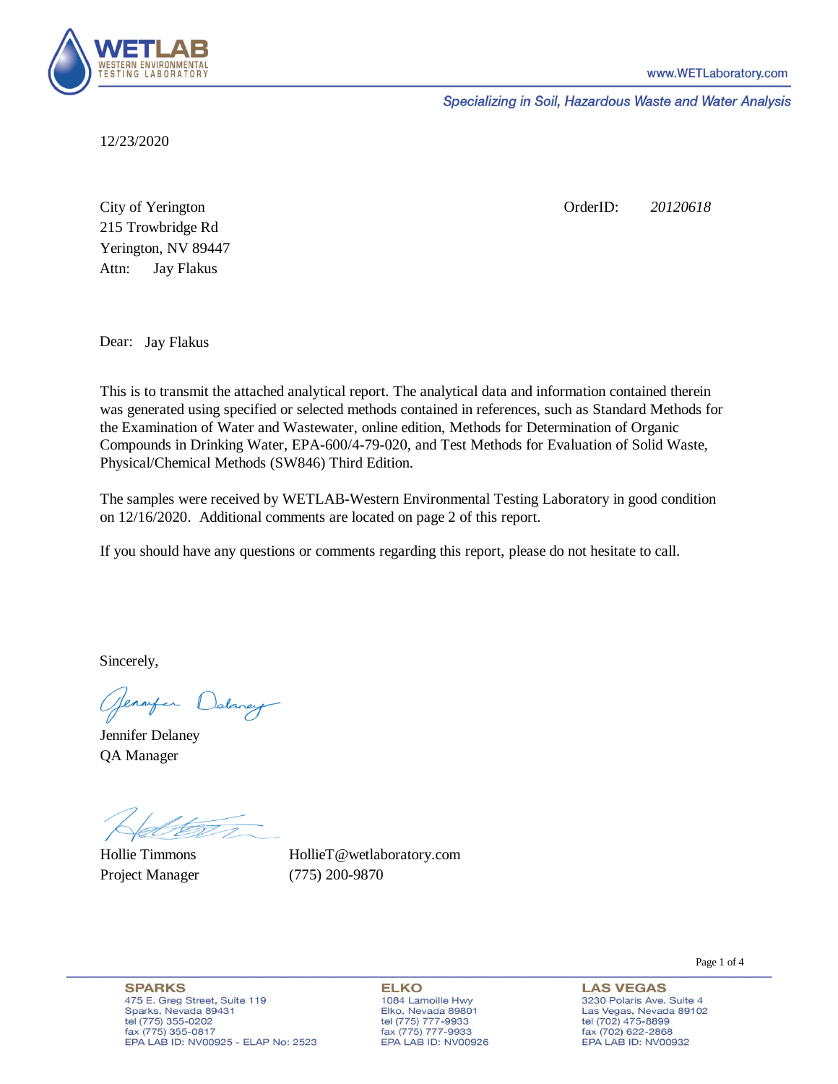

Specializing in Soil, Hazardous Waste and Water Analysis

12/23/2020

Attn: City of Yerington 215 Trowbridge Rd Jay Flakus Yerington, NV 89447 OrderID: *20120618*

Dear: Jay Flakus

This is to transmit the attached analytical report. The analytical data and information contained therein was generated using specified or selected methods contained in references, such as Standard Methods for the Examination of Water and Wastewater, online edition, Methods for Determination of Organic Compounds in Drinking Water, EPA-600/4-79-020, and Test Methods for Evaluation of Solid Waste, Physical/Chemical Methods (SW846) Third Edition.

The samples were received by WETLAB-Western Environmental Testing Laboratory in good condition on 12/16/2020. Additional comments are located on page 2 of this report.

If you should have any questions or comments regarding this report, please do not hesitate to call.

Sincerely,

Genryen Delaney

Jennifer Delaney QA Manager

Hollie Timmons Project Manager (775) 200-9870

HollieT@wetlaboratory.com

**SPARKS** 475 E. Greg Street, Suite 119 Sparks, Nevada 89431 tel (775) 355-0202 fax (775) 355-0817 EPA LAB ID: NV00925 - ELAP No: 2523

**ELKO** 1084 Lamoille Hwy Elko, Nevada 89801 tel (775) 777-9933<br>fax (775) 777-9933 EPA LAB ID: NV00926 Page 1 of 4

**LAS VEGAS** 3230 Polaris Ave. Suite 4 Las Vegas, Nevada 89102 tel (702) 475-8899<br>fax (702) 622-2868 EPA LAB ID: NV00932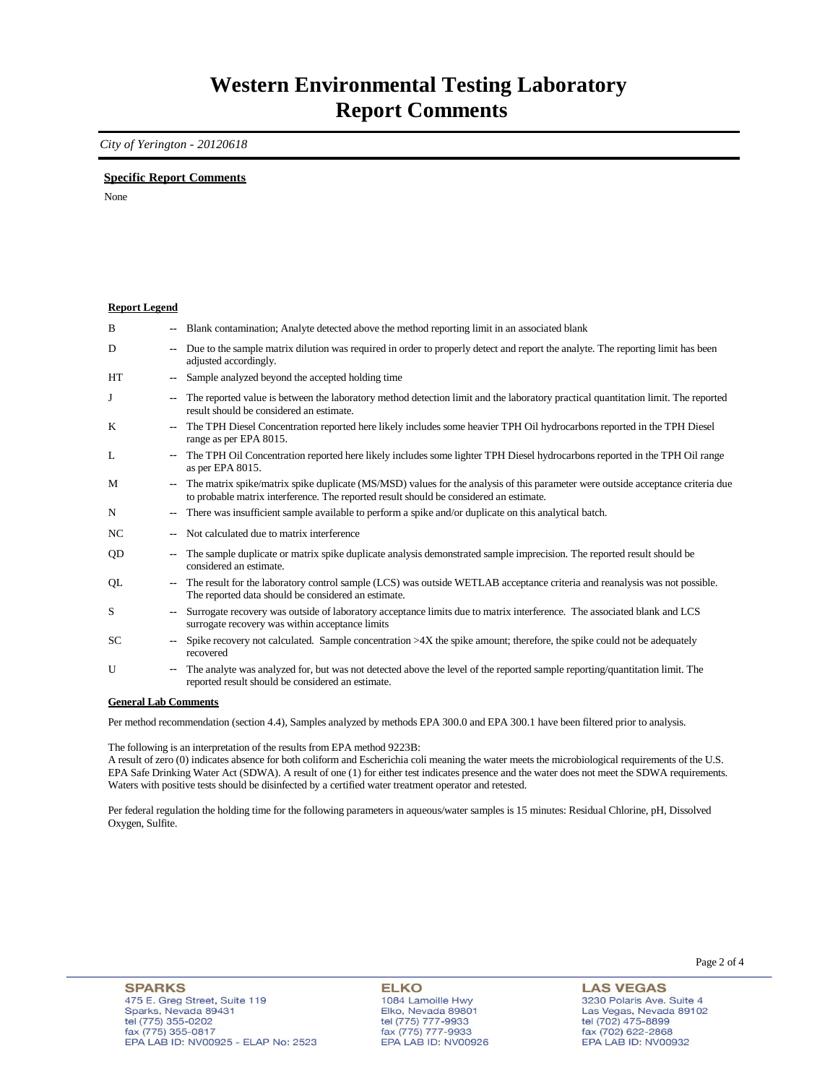### **Western Environmental Testing Laboratory Report Comments**

*City of Yerington - 20120618* 

### **Specific Report Comments**

None

#### **Report Legend**

| B         | --                       | Blank contamination; Analyte detected above the method reporting limit in an associated blank                                                                                                                             |
|-----------|--------------------------|---------------------------------------------------------------------------------------------------------------------------------------------------------------------------------------------------------------------------|
| D         | ۰.                       | Due to the sample matrix dilution was required in order to properly detect and report the analyte. The reporting limit has been<br>adjusted accordingly.                                                                  |
| <b>HT</b> | $\overline{\phantom{a}}$ | Sample analyzed beyond the accepted holding time                                                                                                                                                                          |
| J         | $\overline{\phantom{a}}$ | The reported value is between the laboratory method detection limit and the laboratory practical quantitation limit. The reported<br>result should be considered an estimate.                                             |
| K         | -−                       | The TPH Diesel Concentration reported here likely includes some heavier TPH Oil hydrocarbons reported in the TPH Diesel<br>range as per EPA 8015.                                                                         |
| L         | $\sim$                   | The TPH Oil Concentration reported here likely includes some lighter TPH Diesel hydrocarbons reported in the TPH Oil range<br>as per EPA 8015.                                                                            |
| M         | $\overline{\phantom{a}}$ | The matrix spike/matrix spike duplicate (MS/MSD) values for the analysis of this parameter were outside acceptance criteria due<br>to probable matrix interference. The reported result should be considered an estimate. |
| N         | ۰.                       | There was insufficient sample available to perform a spike and/or duplicate on this analytical batch.                                                                                                                     |
| NC        | --                       | Not calculated due to matrix interference                                                                                                                                                                                 |
| QD        | --                       | The sample duplicate or matrix spike duplicate analysis demonstrated sample imprecision. The reported result should be<br>considered an estimate.                                                                         |
| QL        | $\overline{\phantom{a}}$ | The result for the laboratory control sample (LCS) was outside WETLAB acceptance criteria and reanalysis was not possible.<br>The reported data should be considered an estimate.                                         |
| S         | $\overline{\phantom{a}}$ | Surrogate recovery was outside of laboratory acceptance limits due to matrix interference. The associated blank and LCS<br>surrogate recovery was within acceptance limits                                                |
| <b>SC</b> | $\overline{\phantom{a}}$ | Spike recovery not calculated. Sample concentration $>4X$ the spike amount; therefore, the spike could not be adequately<br>recovered                                                                                     |
| U         | ۰.                       | The analyte was analyzed for, but was not detected above the level of the reported sample reporting/quantitation limit. The<br>reported result should be considered an estimate.                                          |

#### **General Lab Comments**

Per method recommendation (section 4.4), Samples analyzed by methods EPA 300.0 and EPA 300.1 have been filtered prior to analysis.

The following is an interpretation of the results from EPA method 9223B:

A result of zero (0) indicates absence for both coliform and Escherichia coli meaning the water meets the microbiological requirements of the U.S. EPA Safe Drinking Water Act (SDWA). A result of one (1) for either test indicates presence and the water does not meet the SDWA requirements. Waters with positive tests should be disinfected by a certified water treatment operator and retested.

Per federal regulation the holding time for the following parameters in aqueous/water samples is 15 minutes: Residual Chlorine, pH, Dissolved Oxygen, Sulfite.

**ELKO** 1084 Lamoille Hwy<br>Elko, Nevada 89801 tel (775) 777-9933<br>fax (775) 777-9933 EPA LAB ID: NV00926 Page 2 of 4

**LAS VEGAS** 3230 Polaris Ave. Suite 4 Las Vegas, Nevada 89102 tel (702) 475-8899<br>fax (702) 622-2868 EPA LAB ID: NV00932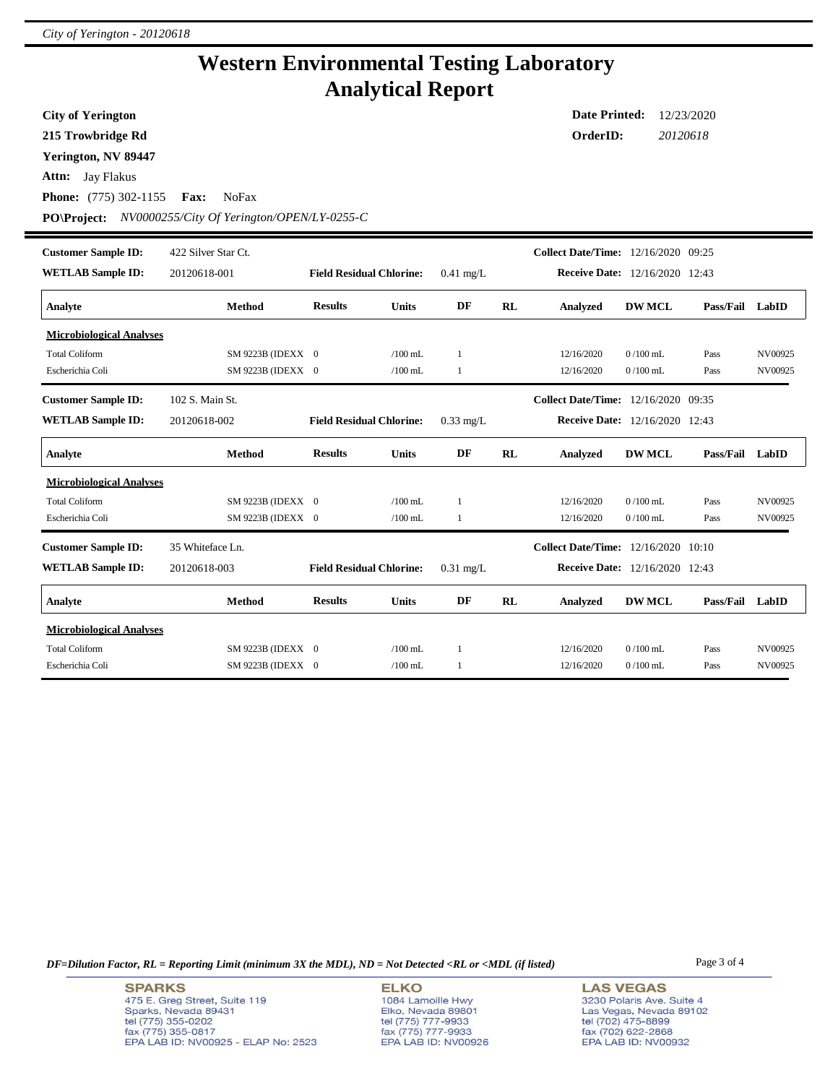## **Western Environmental Testing Laboratory Analytical Report**

**City of Yerington**

**215 Trowbridge Rd**

**Yerington, NV 89447**

**Attn:** Jay Flakus

**Phone:** (775) 302-1155 **Fax:** NoFax

**PO\Project:** *NV0000255/City Of Yerington/OPEN/LY-0255-C*

| <b>Customer Sample ID:</b>      | 422 Silver Star Ct. |                                 |              |             |    | <b>Collect Date/Time:</b>             | 12/16/2020 09:25 |           |         |
|---------------------------------|---------------------|---------------------------------|--------------|-------------|----|---------------------------------------|------------------|-----------|---------|
| <b>WETLAB Sample ID:</b>        | 20120618-001        | <b>Field Residual Chlorine:</b> |              | $0.41$ mg/L |    | <b>Receive Date:</b> 12/16/2020 12:43 |                  |           |         |
| Analyte                         | <b>Method</b>       | <b>Results</b>                  | <b>Units</b> | DF          | RL | <b>Analyzed</b>                       | <b>DW MCL</b>    | Pass/Fail | LabID   |
| <b>Microbiological Analyses</b> |                     |                                 |              |             |    |                                       |                  |           |         |
| <b>Total Coliform</b>           | SM 9223B (IDEXX 0   |                                 | $/100$ mL    | 1           |    | 12/16/2020                            | $0/100$ mL       | Pass      | NV00925 |
| Escherichia Coli                | SM 9223B (IDEXX 0   |                                 | $/100$ mL    | 1           |    | 12/16/2020                            | $0/100$ mL       | Pass      | NV00925 |
| <b>Customer Sample ID:</b>      | 102 S. Main St.     |                                 |              |             |    | Collect Date/Time: 12/16/2020 09:35   |                  |           |         |
| <b>WETLAB Sample ID:</b>        | 20120618-002        | <b>Field Residual Chlorine:</b> |              | $0.33$ mg/L |    | <b>Receive Date:</b> 12/16/2020 12:43 |                  |           |         |
| Analyte                         | <b>Method</b>       | <b>Results</b>                  | <b>Units</b> | DF          | RL | <b>Analyzed</b>                       | <b>DW MCL</b>    | Pass/Fail | LabID   |
| <b>Microbiological Analyses</b> |                     |                                 |              |             |    |                                       |                  |           |         |
| <b>Total Coliform</b>           | SM 9223B (IDEXX 0   |                                 | $/100$ mL    | -1          |    | 12/16/2020                            | $0/100$ mL       | Pass      | NV00925 |
| Escherichia Coli                | SM 9223B (IDEXX 0   |                                 | $/100$ mL    | 1           |    | 12/16/2020                            | $0/100$ mL       | Pass      | NV00925 |
| <b>Customer Sample ID:</b>      | 35 Whiteface Ln.    |                                 |              |             |    | <b>Collect Date/Time:</b>             | 12/16/2020 10:10 |           |         |
| <b>WETLAB Sample ID:</b>        | 20120618-003        | <b>Field Residual Chlorine:</b> |              | $0.31$ mg/L |    | <b>Receive Date:</b> 12/16/2020 12:43 |                  |           |         |
| Analyte                         | <b>Method</b>       | <b>Results</b>                  | <b>Units</b> | DF          | RL | <b>Analyzed</b>                       | <b>DW MCL</b>    | Pass/Fail | LabID   |
| <b>Microbiological Analyses</b> |                     |                                 |              |             |    |                                       |                  |           |         |
| <b>Total Coliform</b>           | SM 9223B (IDEXX 0   |                                 | $/100$ mL.   | 1           |    | 12/16/2020                            | $0/100$ mL       | Pass      | NV00925 |
| Escherichia Coli                | SM 9223B (IDEXX 0   |                                 | $/100$ mL    | 1           |    | 12/16/2020                            | $0/100$ mL       | Pass      | NV00925 |

*DF=Dilution Factor, RL = Reporting Limit (minimum 3X the MDL), ND = Not Detected <RL or <MDL (if listed)* Page 3 of 4

**ELKO** 1084 Lamoille Hwy Elko, Nevada 89801<br>tel (775) 777-9933<br>fax (775) 777-9933 EPA LAB ID: NV00926 **LAS VEGAS** 3230 Polaris Ave. Suite 4 Las Vegas, Nevada 89102 tel (702) 475-8899<br>fax (702) 622-2868 EPA LAB ID: NV00932

**Date Printed:** 12/23/2020 **OrderID:** *20120618*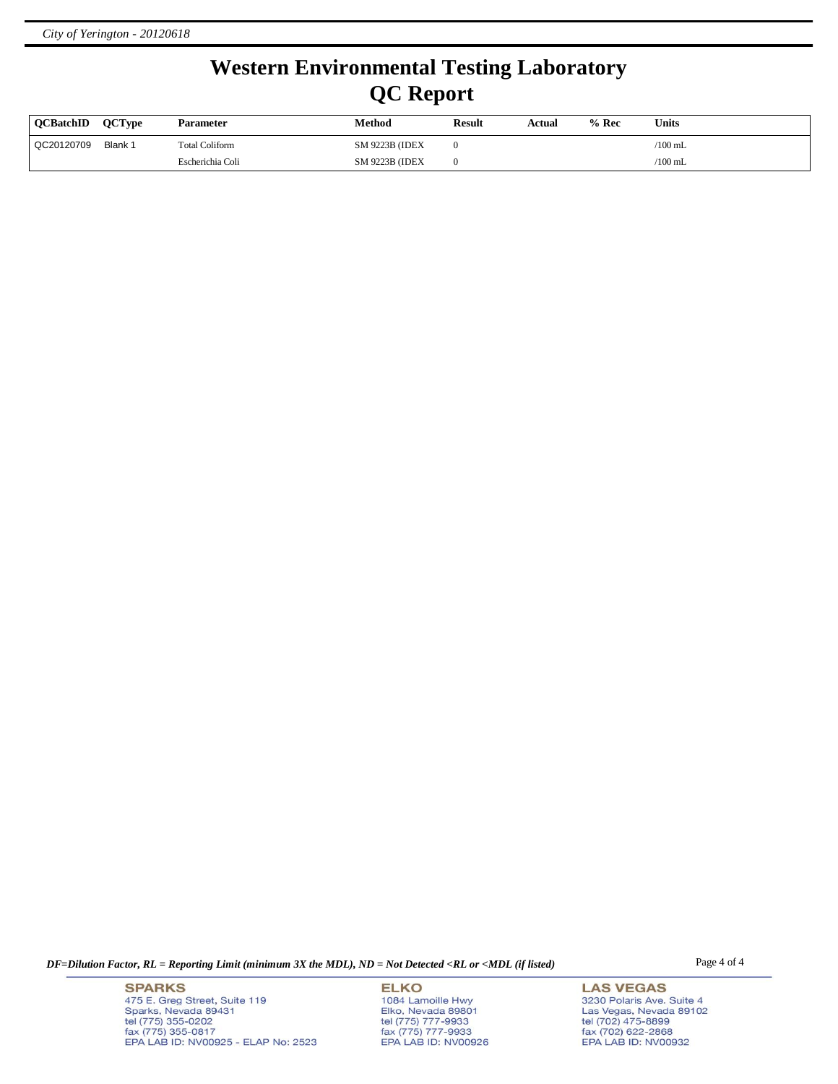# **Western Environmental Testing Laboratory QC Report**

| <b>OCBatchID</b> | <b>OCType</b> | <b>Parameter</b>      | Method                 | <b>Result</b> | Actual | $%$ Rec | <b>Units</b>    |
|------------------|---------------|-----------------------|------------------------|---------------|--------|---------|-----------------|
| QC20120709       | Blank 1       | <b>Total Coliform</b> | <b>SM 9223B (IDEX)</b> |               |        |         | $/100$ mL       |
|                  |               | Escherichia Coli      | <b>SM 9223B (IDEX)</b> |               |        |         | $\sqrt{100}$ mL |

*DF=Dilution Factor, RL = Reporting Limit (minimum 3X the MDL), ND = Not Detected <RL or <MDL (if listed)* Page 4 of 4

**SPARKS** 475 E. Greg Street, Suite 119 Sparks, Nevada 89431<br>tel (775) 355-0202<br>fax (775) 355-0817 EPA LAB ID: NV00925 - ELAP No: 2523

**ELKO** 1084 Lamoille Hwy Elko, Nevada 89801<br>tel (775) 777-9933<br>fax (775) 777-9933 EPA LAB ID: NV00926

**LAS VEGAS** 3230 Polaris Ave. Suite 4 Las Vegas, Nevada 89102<br>tel (702) 475-8899<br>fax (702) 622-2868<br>EPA LAB ID: NV00932